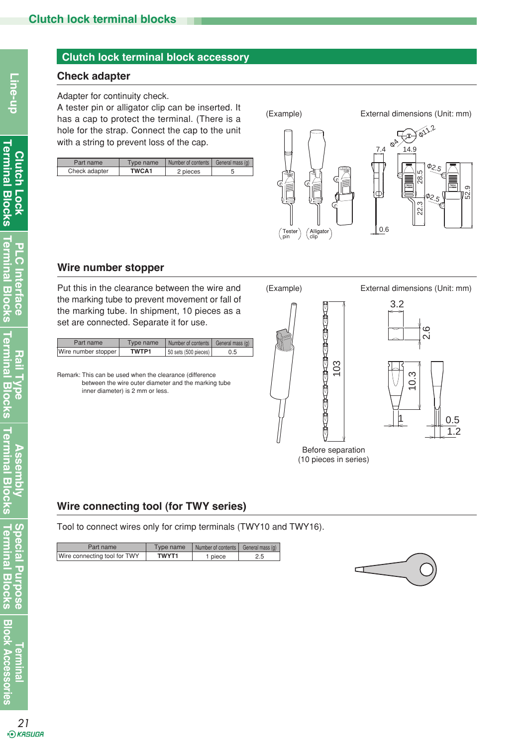## **Check adapter**

#### Adapter for continuity check.

A tester pin or alligator clip can be inserted. It has a cap to protect the terminal. (There is a hole for the strap. Connect the cap to the unit with a string to prevent loss of the cap.

| Part name     | vpe name     | Number of contents I | General mass (g) |
|---------------|--------------|----------------------|------------------|
| Check adapter | <b>TWCA1</b> | 2 pieces             |                  |



## **Wire number stopper**

Put this in the clearance between the wire and the marking tube to prevent movement or fall of the marking tube. In shipment, 10 pieces as a set are connected. Separate it for use.

| Part name           | Type name | Number of contents   General mass (g) |     |
|---------------------|-----------|---------------------------------------|-----|
| Wire number stopper | TWTP1     | 50 sets (500 pieces)                  | 0.5 |

Remark: This can be used when the clearance (difference between the wire outer diameter and the marking tube inner diameter) is 2 mm or less.







Before separation (10 pieces in series)

# **Wire connecting tool (for TWY series)**

Tool to connect wires only for crimp terminals (TWY10 and TWY16).

| Part name                    | Type name    | Number of contents | General mass (g) |
|------------------------------|--------------|--------------------|------------------|
| Wire connecting tool for TWY | <b>TWYT1</b> | ' piece            | 2.5              |



**Terminal Blocks Special Purpose**

Special Purpose<br>Terminal Blocks

**Ermina** 

**Block Accessories**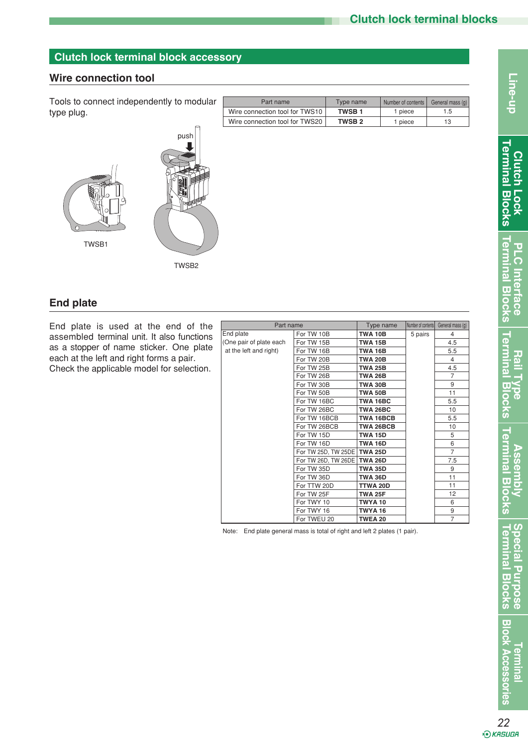## **Wire connection tool**

Tools to connect independently to modular Tools to connect independently to modular type plug.



| Part name                      | Type name     | Number of contents | General mass (g) |
|--------------------------------|---------------|--------------------|------------------|
| Wire connection tool for TWS10 | <b>TWSB1</b>  | 1 piece            | 1.5              |
| Wire connection tool for TWS20 | <b>TWSB 2</b> | 1 piece            | 13               |

**End plate**

End plate is used at the end of the assembled terminal unit. It also functions as a stopper of name sticker. One plate each at the left and right forms a pair.

Check the applicable model for selection.

| Part name               |                             | Type name        | Number of contents | General mass (g) |
|-------------------------|-----------------------------|------------------|--------------------|------------------|
| End plate               | For TW 10B                  | <b>TWA 10B</b>   | 5 pairs            | 4                |
| (One pair of plate each | For TW 15B                  | <b>TWA 15B</b>   |                    | 4.5              |
| at the left and right)  | For TW 16B                  | <b>TWA 16B</b>   |                    | 5.5              |
|                         | For TW 20B                  | <b>TWA 20B</b>   |                    | $\overline{4}$   |
|                         | For TW 25B                  | <b>TWA 25B</b>   |                    | 4.5              |
|                         | For TW 26B                  | <b>TWA 26B</b>   |                    | $\overline{7}$   |
|                         | For TW 30B                  | <b>TWA 30B</b>   |                    | 9                |
|                         | For TW 50B                  | <b>TWA 50B</b>   |                    | 11               |
|                         | For TW 16BC                 | TWA 16BC         |                    | 5.5              |
|                         | For TW 26BC                 | TWA 26BC         |                    | 10               |
|                         | For TW 16BCB                | <b>TWA 16BCB</b> |                    | 5.5              |
|                         | For TW 26BCB                | <b>TWA 26BCB</b> |                    | 10               |
|                         | For TW 15D                  | <b>TWA 15D</b>   |                    | 5                |
|                         | For TW 16D                  | <b>TWA 16D</b>   |                    | 6                |
|                         | For TW 25D, TW 25DE TWA 25D |                  |                    | $\overline{7}$   |
|                         | For TW 26D, TW 26DE         | <b>TWA 26D</b>   |                    | 7.5              |
|                         | For TW 35D                  | <b>TWA 35D</b>   |                    | 9                |
|                         | For TW 36D                  | <b>TWA 36D</b>   |                    | 11               |
|                         | For TTW 20D                 | TTWA 20D         |                    | 11               |
|                         | For TW 25F                  | <b>TWA 25F</b>   |                    | 12               |
|                         | For TWY 10                  | TWYA 10          |                    | 6                |
|                         | For TWY 16                  | TWYA 16          |                    | 9                |
|                         | For TWEU 20                 | <b>TWEA 20</b>   |                    | $\overline{7}$   |

Note: End plate general mass is total of right and left 2 plates (1 pair).

**Block Accessories** *<u><b>Terminal*</u>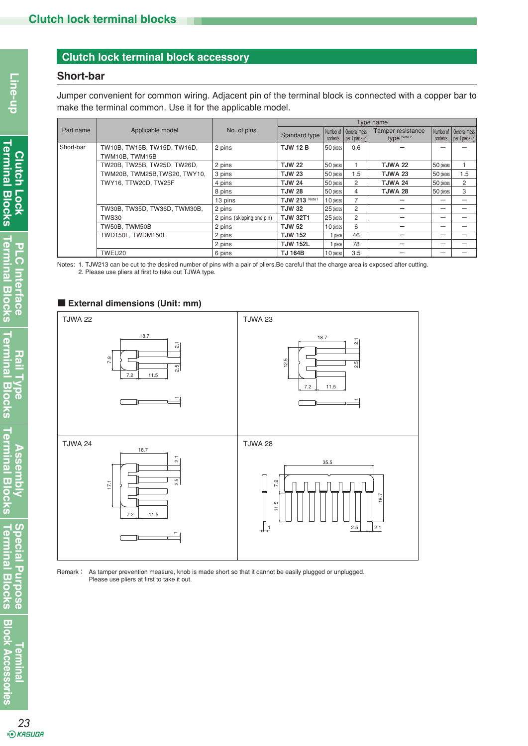### **Short-bar**

Jumper convenient for common wiring. Adjacent pin of the terminal block is connected with a copper bar to make the terminal common. Use it for the applicable model.

|           |                               | Type name                 |                 |            |                                                 |                                  |                       |                                   |
|-----------|-------------------------------|---------------------------|-----------------|------------|-------------------------------------------------|----------------------------------|-----------------------|-----------------------------------|
| Part name | Applicable model              | No. of pins               | Standard type   | contents   | Number of General mass<br>$ $ per 1 piece $(q)$ | Tamper resistance<br>type Note 2 | Number of<br>contents | General mass<br>per 1 piece $(q)$ |
| Short-bar | TW10B, TW15B, TW15D, TW16D,   | 2 pins                    | <b>TJW 12 B</b> | 50 pieces  | 0.6                                             |                                  |                       |                                   |
|           | TWM10B. TWM15B                |                           |                 |            |                                                 |                                  |                       |                                   |
|           | TW20B, TW25B, TW25D, TW26D,   | 2 pins                    | <b>TJW 22</b>   | 50 pieces  |                                                 | <b>TJWA 22</b>                   | 50 pieces             |                                   |
|           | TWM20B, TWM25B, TWS20, TWY10, | 3 pins                    | <b>TJW 23</b>   | 50 pieces  | 1.5                                             | TJWA 23                          | 50 pieces             | 1.5                               |
|           | TWY16, TTW20D, TW25F          | 4 pins                    | <b>TJW 24</b>   | 50 pieces  | 2                                               | TJWA 24                          | 50 pieces             | $\overline{c}$                    |
|           |                               | 8 pins                    | <b>TJW 28</b>   | 50 pieces  | 4                                               | TJWA 28                          | 50 pieces             | 3                                 |
|           |                               | 13 pins                   | TJW 213 Note1   | 1 O pieces | $\overline{7}$                                  |                                  |                       |                                   |
|           | TW30B, TW35D, TW36D, TWM30B,  | 2 pins                    | <b>TJW 32</b>   | 25 pieces  | $\overline{c}$                                  |                                  |                       |                                   |
|           | TWS30                         | 2 pins (skipping one pin) | <b>TJW 32T1</b> | 25 pieces  | 2                                               |                                  | -                     |                                   |
|           | TW50B. TWM50B                 | 2 pins                    | <b>TJW 52</b>   | 10 pieces  | 6                                               |                                  |                       |                                   |
|           | TWD150L. TWDM150L             | 2 pins                    | <b>TJW 152</b>  | 1 piece    | 46                                              |                                  |                       |                                   |
|           |                               | 2 pins                    | <b>TJW 152L</b> | 1 piece    | 78                                              |                                  | -                     |                                   |
|           | TWEU20                        | 6 pins                    | <b>TJ 164B</b>  | 1 O pieces | 3.5                                             |                                  |                       |                                   |

Notes: 1. TJW213 can be cut to the desired number of pins with a pair of pliers.Be careful that the charge area is exposed after cutting. 2. Please use pliers at first to take out TJWA type.

#### ■ **External dimensions (Unit: mm)**



Remark: As tamper prevention measure, knob is made short so that it cannot be easily plugged or unplugged. Please use pliers at first to take it out.

 $\overline{C}$ 

Ξ

**Terminal Blocks Special Purpose**

**Special Purpose**<br>Terminal Blocks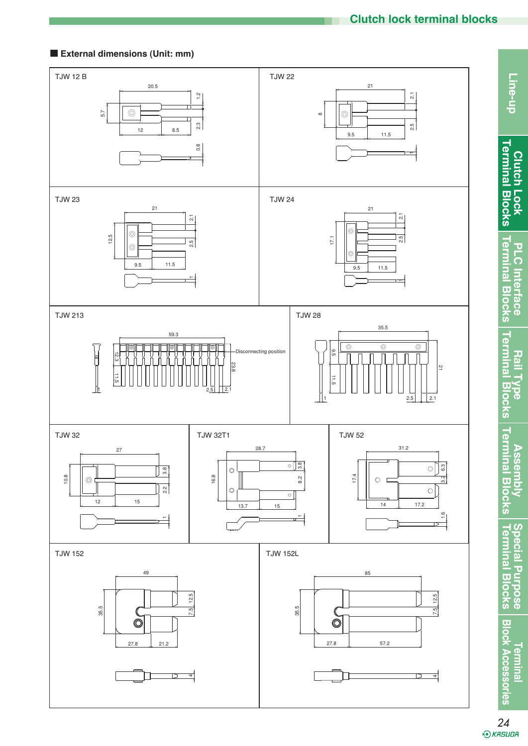## ■ **External dimensions (Unit: mm)**



24<br>*® к*аѕива

**Clutch Lock**

Line-up

**PLC Interface**

**PLC** Interface

**Assembly**

**Special Purpose**

**Terminal**